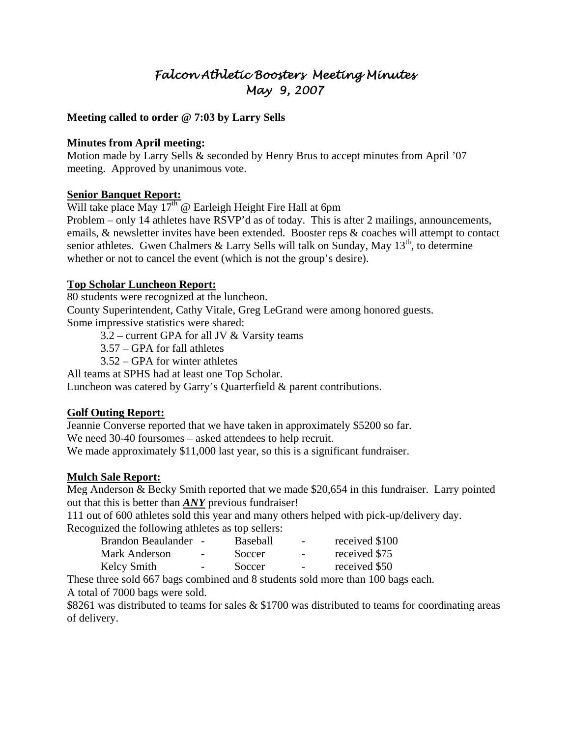# *Falcon Athletic Boosters Meeting Minutes May 9, 2007*

#### **Meeting called to order @ 7:03 by Larry Sells**

#### **Minutes from April meeting:**

Motion made by Larry Sells & seconded by Henry Brus to accept minutes from April '07 meeting. Approved by unanimous vote.

#### **Senior Banquet Report:**

Will take place May  $17<sup>th</sup>$  @ Earleigh Height Fire Hall at 6pm

Problem – only 14 athletes have RSVP'd as of today. This is after 2 mailings, announcements, emails, & newsletter invites have been extended. Booster reps & coaches will attempt to contact senior athletes. Gwen Chalmers & Larry Sells will talk on Sunday, May  $13<sup>th</sup>$ , to determine whether or not to cancel the event (which is not the group's desire).

#### **Top Scholar Luncheon Report:**

80 students were recognized at the luncheon. County Superintendent, Cathy Vitale, Greg LeGrand were among honored guests. Some impressive statistics were shared:

 $3.2$  – current GPA for all JV  $&$  Varsity teams

3.57 – GPA for fall athletes

3.52 – GPA for winter athletes

All teams at SPHS had at least one Top Scholar.

Luncheon was catered by Garry's Quarterfield & parent contributions.

#### **Golf Outing Report:**

Jeannie Converse reported that we have taken in approximately \$5200 so far. We need 30-40 foursomes – asked attendees to help recruit. We made approximately \$11,000 last year, so this is a significant fundraiser.

#### **Mulch Sale Report:**

Meg Anderson & Becky Smith reported that we made \$20,654 in this fundraiser. Larry pointed out that this is better than *ANY* previous fundraiser!

111 out of 600 athletes sold this year and many others helped with pick-up/delivery day. Recognized the following athletes as top sellers:

| Brandon Beaulander - |        | Baseball | $\overline{\phantom{a}}$ | received \$100 |
|----------------------|--------|----------|--------------------------|----------------|
| Mark Anderson        | $\sim$ | Soccer   | $\overline{\phantom{a}}$ | received \$75  |
| <b>Kelcy Smith</b>   | $\sim$ | Soccer   | $\overline{\phantom{a}}$ | received \$50  |

These three sold 667 bags combined and 8 students sold more than 100 bags each. A total of 7000 bags were sold.

\$8261 was distributed to teams for sales & \$1700 was distributed to teams for coordinating areas of delivery.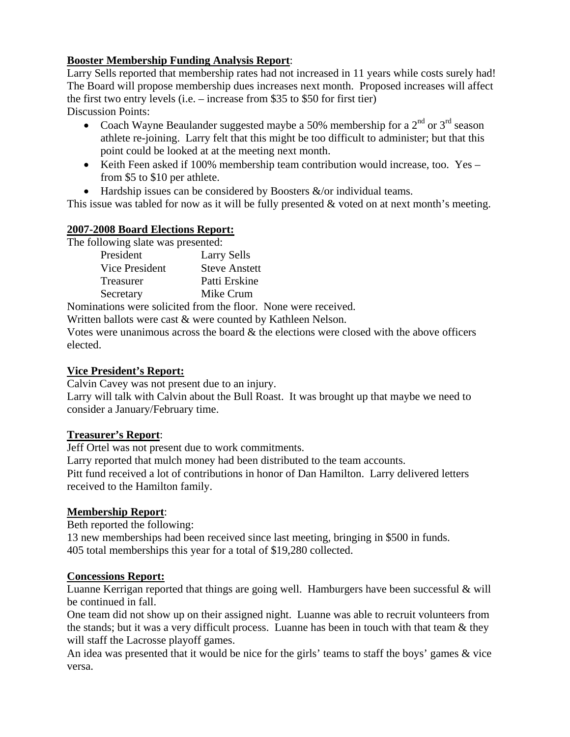# **Booster Membership Funding Analysis Report**:

Larry Sells reported that membership rates had not increased in 11 years while costs surely had! The Board will propose membership dues increases next month. Proposed increases will affect the first two entry levels (i.e. – increase from \$35 to \$50 for first tier) Discussion Points:

- Coach Wayne Beaulander suggested maybe a 50% membership for a  $2<sup>nd</sup>$  or  $3<sup>rd</sup>$  season athlete re-joining. Larry felt that this might be too difficult to administer; but that this point could be looked at at the meeting next month.
- Keith Feen asked if 100% membership team contribution would increase, too. Yes from \$5 to \$10 per athlete.
- Hardship issues can be considered by Boosters  $\&$ /or individual teams.

This issue was tabled for now as it will be fully presented & voted on at next month's meeting.

# **2007-2008 Board Elections Report:**

The following slate was presented:

| President      | <b>Larry Sells</b>   |
|----------------|----------------------|
| Vice President | <b>Steve Anstett</b> |
| Treasurer      | Patti Erskine        |
| Secretary      | Mike Crum            |

Nominations were solicited from the floor. None were received.

Written ballots were cast & were counted by Kathleen Nelson.

Votes were unanimous across the board & the elections were closed with the above officers elected.

## **Vice President's Report:**

Calvin Cavey was not present due to an injury.

Larry will talk with Calvin about the Bull Roast. It was brought up that maybe we need to consider a January/February time.

## **Treasurer's Report**:

Jeff Ortel was not present due to work commitments.

Larry reported that mulch money had been distributed to the team accounts.

Pitt fund received a lot of contributions in honor of Dan Hamilton. Larry delivered letters received to the Hamilton family.

## **Membership Report**:

Beth reported the following:

13 new memberships had been received since last meeting, bringing in \$500 in funds. 405 total memberships this year for a total of \$19,280 collected.

## **Concessions Report:**

Luanne Kerrigan reported that things are going well. Hamburgers have been successful & will be continued in fall.

One team did not show up on their assigned night. Luanne was able to recruit volunteers from the stands; but it was a very difficult process. Luanne has been in touch with that team  $\&$  they will staff the Lacrosse playoff games.

An idea was presented that it would be nice for the girls' teams to staff the boys' games & vice versa.